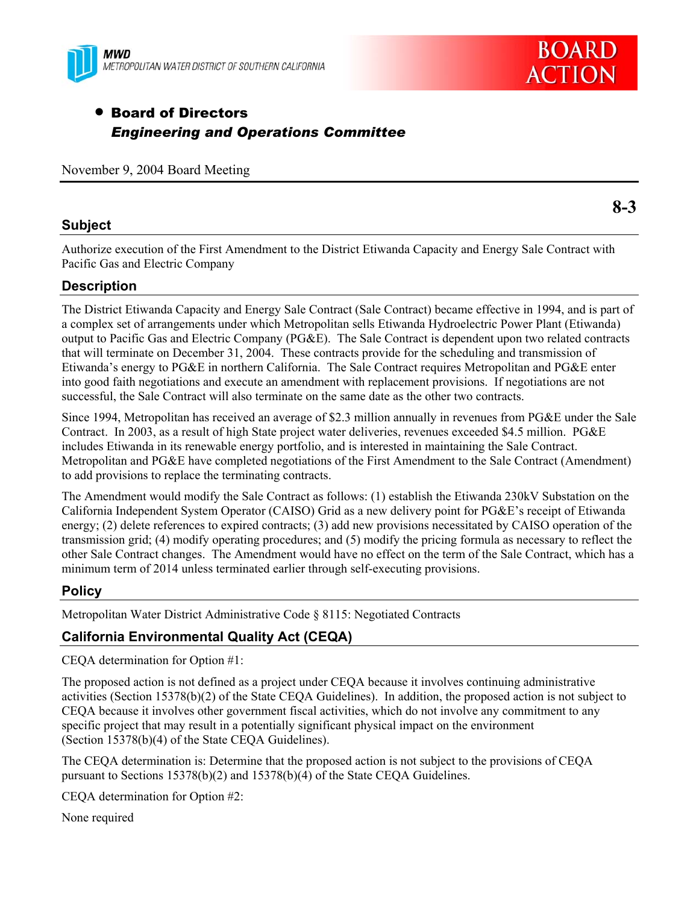



# • Board of Directors *Engineering and Operations Committee*

November 9, 2004 Board Meeting

### **Subject**

**8-3** 

Authorize execution of the First Amendment to the District Etiwanda Capacity and Energy Sale Contract with Pacific Gas and Electric Company

## **Description**

The District Etiwanda Capacity and Energy Sale Contract (Sale Contract) became effective in 1994, and is part of a complex set of arrangements under which Metropolitan sells Etiwanda Hydroelectric Power Plant (Etiwanda) output to Pacific Gas and Electric Company (PG&E). The Sale Contract is dependent upon two related contracts that will terminate on December 31, 2004. These contracts provide for the scheduling and transmission of Etiwanda's energy to PG&E in northern California. The Sale Contract requires Metropolitan and PG&E enter into good faith negotiations and execute an amendment with replacement provisions. If negotiations are not successful, the Sale Contract will also terminate on the same date as the other two contracts.

Since 1994, Metropolitan has received an average of \$2.3 million annually in revenues from PG&E under the Sale Contract. In 2003, as a result of high State project water deliveries, revenues exceeded \$4.5 million. PG&E includes Etiwanda in its renewable energy portfolio, and is interested in maintaining the Sale Contract. Metropolitan and PG&E have completed negotiations of the First Amendment to the Sale Contract (Amendment) to add provisions to replace the terminating contracts.

The Amendment would modify the Sale Contract as follows: (1) establish the Etiwanda 230kV Substation on the California Independent System Operator (CAISO) Grid as a new delivery point for PG&E's receipt of Etiwanda energy; (2) delete references to expired contracts; (3) add new provisions necessitated by CAISO operation of the transmission grid; (4) modify operating procedures; and (5) modify the pricing formula as necessary to reflect the other Sale Contract changes. The Amendment would have no effect on the term of the Sale Contract, which has a minimum term of 2014 unless terminated earlier through self-executing provisions.

### **Policy**

Metropolitan Water District Administrative Code § 8115: Negotiated Contracts

# **California Environmental Quality Act (CEQA)**

CEQA determination for Option #1:

The proposed action is not defined as a project under CEQA because it involves continuing administrative activities (Section 15378(b)(2) of the State CEQA Guidelines). In addition, the proposed action is not subject to CEQA because it involves other government fiscal activities, which do not involve any commitment to any specific project that may result in a potentially significant physical impact on the environment (Section 15378(b)(4) of the State CEQA Guidelines).

The CEQA determination is: Determine that the proposed action is not subject to the provisions of CEQA pursuant to Sections 15378(b)(2) and 15378(b)(4) of the State CEQA Guidelines.

CEQA determination for Option #2:

None required